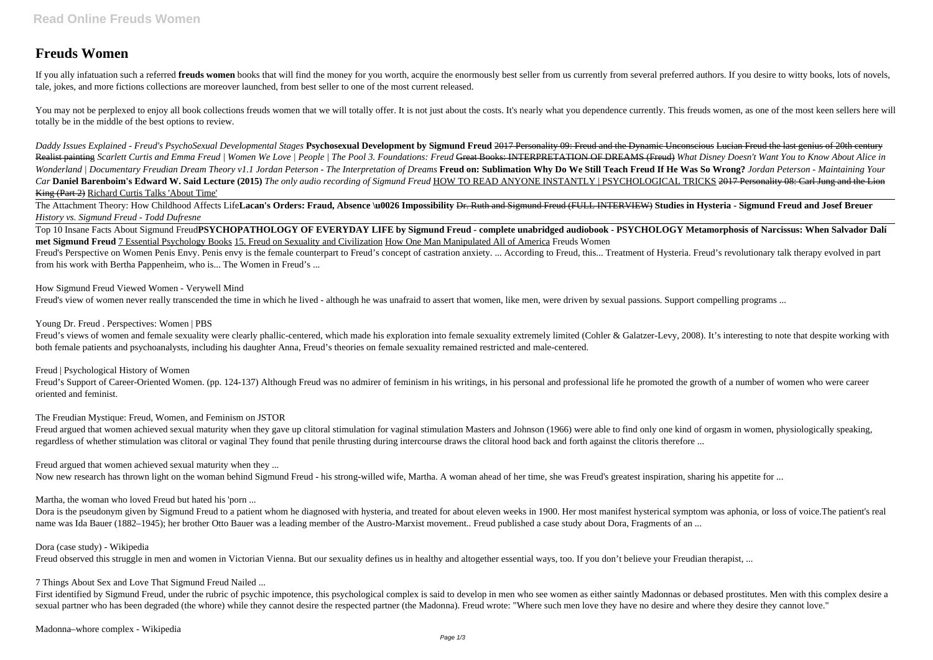# **Freuds Women**

If you ally infatuation such a referred freuds women books that will find the money for you worth, acquire the enormously best seller from us currently from several preferred authors. If you desire to witty books, lots of tale, jokes, and more fictions collections are moreover launched, from best seller to one of the most current released.

You may not be perplexed to enjoy all book collections freuds women that we will totally offer. It is not just about the costs. It's nearly what you dependence currently. This freuds women, as one of the most keen sellers totally be in the middle of the best options to review.

The Attachment Theory: How Childhood Affects Life**Lacan's Orders: Fraud, Absence \u0026 Impossibility Dr. Ruth and Sigmund Freud (FULL INTERVIEW) Studies in Hysteria - Sigmund Freud and Josef Breuer** *History vs. Sigmund Freud - Todd Dufresne*

*Daddy Issues Explained - Freud's PsychoSexual Developmental Stages* **Psychosexual Development by Sigmund Freud** 2017 Personality 09: Freud and the Dynamic Unconscious Lucian Freud the last genius of 20th century Realist painting *Scarlett Curtis and Emma Freud | Women We Love | People | The Pool 3. Foundations: Freud Great Books: INTERPRETATION OF DREAMS (Freud) <i>What Disney Doesn't Want You to Know About Alice in* Wonderland | Documentary Freudian Dream Theory v1.1 Jordan Peterson - The Interpretation of Dreams Freud on: Sublimation Why Do We Still Teach Freud If He Was So Wrong? Jordan Peterson - Maintaining Your *Car* **Daniel Barenboim's Edward W. Said Lecture (2015)** *The only audio recording of Sigmund Freud* HOW TO READ ANYONE INSTANTLY | PSYCHOLOGICAL TRICKS 2017 Personality 08: Carl Jung and the Lion King (Part 2) Richard Curtis Talks 'About Time'

Freud's Perspective on Women Penis Envy. Penis envy is the female counterpart to Freud's concept of castration anxiety. ... According to Freud, this... Treatment of Hysteria. Freud's revolutionary talk therapy evolved in p from his work with Bertha Pappenheim, who is... The Women in Freud's ...

Freud's views of women and female sexuality were clearly phallic-centered, which made his exploration into female sexuality extremely limited (Cohler & Galatzer-Levy, 2008). It's interesting to note that despite working wi both female patients and psychoanalysts, including his daughter Anna, Freud's theories on female sexuality remained restricted and male-centered.

Freud's Support of Career-Oriented Women. (pp. 124-137) Although Freud was no admirer of feminism in his writings, in his personal and professional life he promoted the growth of a number of women who were career oriented and feminist.

Freud argued that women achieved sexual maturity when they gave up clitoral stimulation for vaginal stimulation Masters and Johnson (1966) were able to find only one kind of orgasm in women, physiologically speaking, regardless of whether stimulation was clitoral or vaginal They found that penile thrusting during intercourse draws the clitoral hood back and forth against the clitoris therefore ...

Top 10 Insane Facts About Sigmund Freud**PSYCHOPATHOLOGY OF EVERYDAY LIFE by Sigmund Freud - complete unabridged audiobook - PSYCHOLOGY Metamorphosis of Narcissus: When Salvador Dalí met Sigmund Freud** 7 Essential Psychology Books 15. Freud on Sexuality and Civilization How One Man Manipulated All of America Freuds Women

How Sigmund Freud Viewed Women - Verywell Mind

Freud's view of women never really transcended the time in which he lived - although he was unafraid to assert that women, like men, were driven by sexual passions. Support compelling programs ...

Young Dr. Freud . Perspectives: Women | PBS

Freud | Psychological History of Women

The Freudian Mystique: Freud, Women, and Feminism on JSTOR

Freud argued that women achieved sexual maturity when they ...

Now new research has thrown light on the woman behind Sigmund Freud - his strong-willed wife. Martha, A woman ahead of her time, she was Freud's greatest inspiration, sharing his appetite for ...

Martha, the woman who loved Freud but hated his 'porn ...

Dora is the pseudonym given by Sigmund Freud to a patient whom he diagnosed with hysteria, and treated for about eleven weeks in 1900. Her most manifest hysterical symptom was aphonia, or loss of voice. The patient's real name was Ida Bauer (1882–1945); her brother Otto Bauer was a leading member of the Austro-Marxist movement.. Freud published a case study about Dora, Fragments of an ...

### Dora (case study) - Wikipedia

Freud observed this struggle in men and women in Victorian Vienna. But our sexuality defines us in healthy and altogether essential ways, too. If you don't believe your Freudian therapist, ...

7 Things About Sex and Love That Sigmund Freud Nailed ...

First identified by Sigmund Freud, under the rubric of psychic impotence, this psychological complex is said to develop in men who see women as either saintly Madonnas or debased prostitutes. Men with this complex desire a sexual partner who has been degraded (the whore) while they cannot desire the respected partner (the Madonna). Freud wrote: "Where such men love they have no desire and where they desire they cannot love."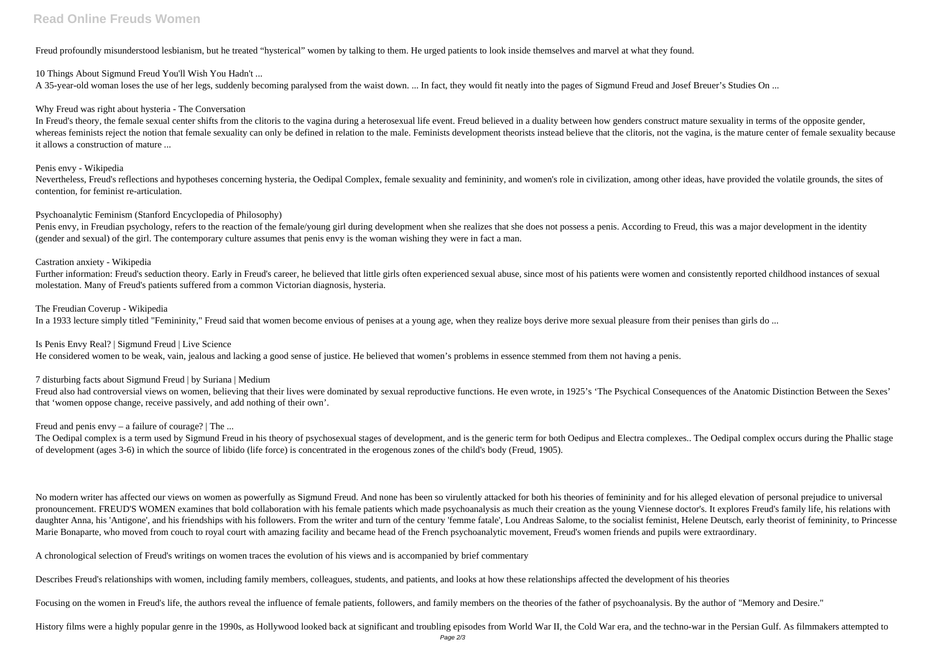## **Read Online Freuds Women**

Freud profoundly misunderstood lesbianism, but he treated "hysterical" women by talking to them. He urged patients to look inside themselves and marvel at what they found.

#### 10 Things About Sigmund Freud You'll Wish You Hadn't ...

A 35-year-old woman loses the use of her legs, suddenly becoming paralysed from the waist down. ... In fact, they would fit neatly into the pages of Sigmund Freud and Josef Breuer's Studies On ...

#### Why Freud was right about hysteria - The Conversation

In Freud's theory, the female sexual center shifts from the clitoris to the vagina during a heterosexual life event. Freud believed in a duality between how genders construct mature sexuality in terms of the opposite gende whereas feminists reject the notion that female sexuality can only be defined in relation to the male. Feminists development theorists instead believe that the clitoris, not the vagina, is the mature center of female sexua it allows a construction of mature ...

Nevertheless, Freud's reflections and hypotheses concerning hysteria, the Oedipal Complex, female sexuality and femininity, and women's role in civilization, among other ideas, have provided the volatile grounds, the sites contention, for feminist re-articulation.

Penis envy, in Freudian psychology, refers to the reaction of the female/young girl during development when she realizes that she does not possess a penis. According to Freud, this was a major development in the identity (gender and sexual) of the girl. The contemporary culture assumes that penis envy is the woman wishing they were in fact a man.

#### Penis envy - Wikipedia

Further information: Freud's seduction theory. Early in Freud's career, he believed that little girls often experienced sexual abuse, since most of his patients were women and consistently reported childhood instances of s molestation. Many of Freud's patients suffered from a common Victorian diagnosis, hysteria.

#### Psychoanalytic Feminism (Stanford Encyclopedia of Philosophy)

Freud also had controversial views on women, believing that their lives were dominated by sexual reproductive functions. He even wrote, in 1925's 'The Psychical Consequences of the Anatomic Distinction Between the Sexes' that 'women oppose change, receive passively, and add nothing of their own'.

The Oedipal complex is a term used by Sigmund Freud in his theory of psychosexual stages of development, and is the generic term for both Oedipus and Electra complexes.. The Oedipal complex occurs during the Phallic stage of development (ages 3-6) in which the source of libido (life force) is concentrated in the erogenous zones of the child's body (Freud, 1905).

No modern writer has affected our views on women as powerfully as Sigmund Freud. And none has been so virulently attacked for both his theories of femininity and for his alleged elevation of personal prejudice to universal pronouncement. FREUD'S WOMEN examines that bold collaboration with his female patients which made psychoanalysis as much their creation as the young Viennese doctor's. It explores Freud's family life, his relations with daughter Anna, his 'Antigone', and his friendships with his followers. From the writer and turn of the century 'femme fatale', Lou Andreas Salome, to the socialist feminist, Helene Deutsch, early theorist of femininity, to Marie Bonaparte, who moved from couch to royal court with amazing facility and became head of the French psychoanalytic movement, Freud's women friends and pupils were extraordinary.

#### Castration anxiety - Wikipedia

#### The Freudian Coverup - Wikipedia

In a 1933 lecture simply titled "Femininity," Freud said that women become envious of penises at a young age, when they realize boys derive more sexual pleasure from their penises than girls do ...

#### Is Penis Envy Real? | Sigmund Freud | Live Science

He considered women to be weak, vain, jealous and lacking a good sense of justice. He believed that women's problems in essence stemmed from them not having a penis.

### 7 disturbing facts about Sigmund Freud | by Suriana | Medium

### Freud and penis envy – a failure of courage? | The ...

A chronological selection of Freud's writings on women traces the evolution of his views and is accompanied by brief commentary

Describes Freud's relationships with women, including family members, colleagues, students, and patients, and looks at how these relationships affected the development of his theories

Focusing on the women in Freud's life, the authors reveal the influence of female patients, followers, and family members on the theories of the father of psychoanalysis. By the author of "Memory and Desire."

History films were a highly popular genre in the 1990s, as Hollywood looked back at significant and troubling episodes from World War II, the Cold War era, and the techno-war in the Persian Gulf. As filmmakers attempted to